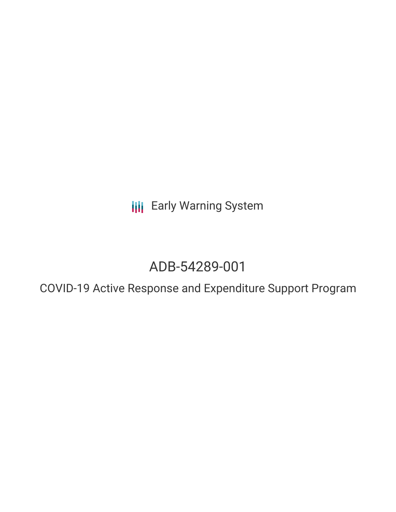**III** Early Warning System

# ADB-54289-001

COVID-19 Active Response and Expenditure Support Program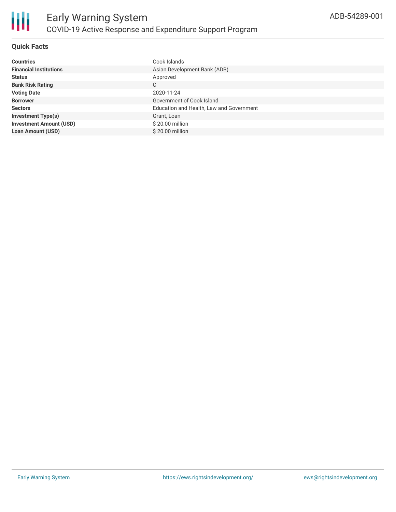

# **Quick Facts**

| <b>Countries</b>               | Cook Islands                             |
|--------------------------------|------------------------------------------|
| <b>Financial Institutions</b>  | Asian Development Bank (ADB)             |
| <b>Status</b>                  | Approved                                 |
| <b>Bank Risk Rating</b>        | C                                        |
| <b>Voting Date</b>             | 2020-11-24                               |
| <b>Borrower</b>                | Government of Cook Island                |
| <b>Sectors</b>                 | Education and Health, Law and Government |
| <b>Investment Type(s)</b>      | Grant, Loan                              |
| <b>Investment Amount (USD)</b> | \$20.00 million                          |
| <b>Loan Amount (USD)</b>       | \$20.00 million                          |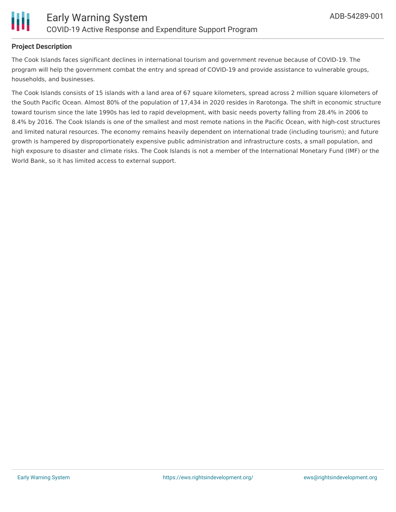

#### **Project Description**

The Cook Islands faces significant declines in international tourism and government revenue because of COVID-19. The program will help the government combat the entry and spread of COVID-19 and provide assistance to vulnerable groups, households, and businesses.

The Cook Islands consists of 15 islands with a land area of 67 square kilometers, spread across 2 million square kilometers of the South Pacific Ocean. Almost 80% of the population of 17,434 in 2020 resides in Rarotonga. The shift in economic structure toward tourism since the late 1990s has led to rapid development, with basic needs poverty falling from 28.4% in 2006 to 8.4% by 2016. The Cook Islands is one of the smallest and most remote nations in the Pacific Ocean, with high-cost structures and limited natural resources. The economy remains heavily dependent on international trade (including tourism); and future growth is hampered by disproportionately expensive public administration and infrastructure costs, a small population, and high exposure to disaster and climate risks. The Cook Islands is not a member of the International Monetary Fund (IMF) or the World Bank, so it has limited access to external support.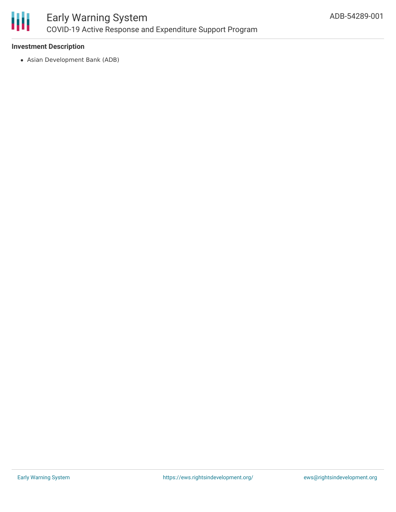

## **Investment Description**

Asian Development Bank (ADB)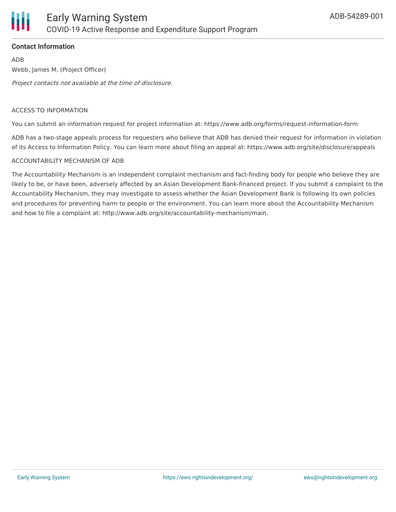# **Contact Information**

ADB Webb, James M. (Project Officer) Project contacts not available at the time of disclosure.

#### ACCESS TO INFORMATION

You can submit an information request for project information at: https://www.adb.org/forms/request-information-form

ADB has a two-stage appeals process for requesters who believe that ADB has denied their request for information in violation of its Access to Information Policy. You can learn more about filing an appeal at: https://www.adb.org/site/disclosure/appeals

## ACCOUNTABILITY MECHANISM OF ADB

The Accountability Mechanism is an independent complaint mechanism and fact-finding body for people who believe they are likely to be, or have been, adversely affected by an Asian Development Bank-financed project. If you submit a complaint to the Accountability Mechanism, they may investigate to assess whether the Asian Development Bank is following its own policies and procedures for preventing harm to people or the environment. You can learn more about the Accountability Mechanism and how to file a complaint at: http://www.adb.org/site/accountability-mechanism/main.